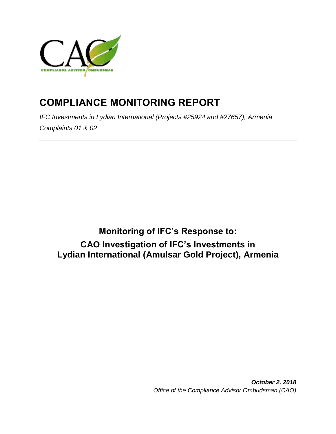

# **COMPLIANCE MONITORING REPORT**

*IFC Investments in Lydian International (Projects #25924 and #27657), Armenia Complaints 01 & 02*

**Monitoring of IFC's Response to: CAO Investigation of IFC's Investments in Lydian International (Amulsar Gold Project), Armenia**

> *October 2, 2018 Office of the Compliance Advisor Ombudsman (CAO)*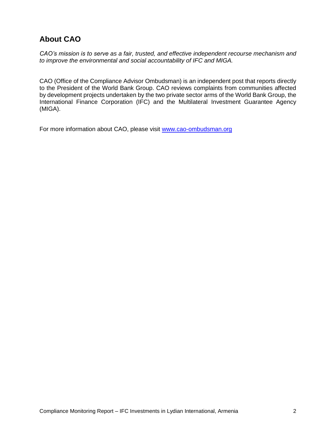## **About CAO**

*CAO's mission is to serve as a fair, trusted, and effective independent recourse mechanism and to improve the environmental and social accountability of IFC and MIGA.*

CAO (Office of the Compliance Advisor Ombudsman) is an independent post that reports directly to the President of the World Bank Group. CAO reviews complaints from communities affected by development projects undertaken by the two private sector arms of the World Bank Group, the International Finance Corporation (IFC) and the Multilateral Investment Guarantee Agency (MIGA).

For more information about CAO, please visit [www.cao-ombudsman.org](http://www.cao-ombudsman.org/)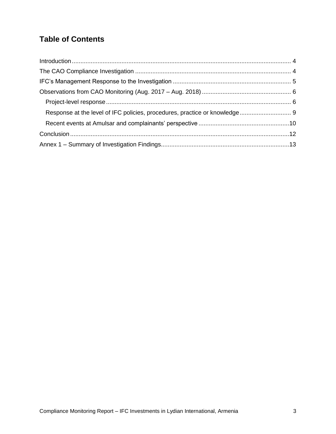## **Table of Contents**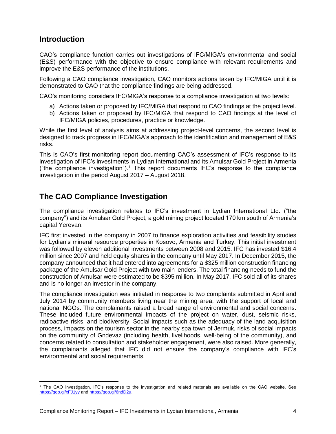## <span id="page-3-0"></span>**Introduction**

CAO's compliance function carries out investigations of IFC/MIGA's environmental and social (E&S) performance with the objective to ensure compliance with relevant requirements and improve the E&S performance of the institutions.

Following a CAO compliance investigation, CAO monitors actions taken by IFC/MIGA until it is demonstrated to CAO that the compliance findings are being addressed.

CAO's monitoring considers IFC/MIGA's response to a compliance investigation at two levels:

- a) Actions taken or proposed by IFC/MIGA that respond to CAO findings at the project level.
- b) Actions taken or proposed by IFC/MIGA that respond to CAO findings at the level of IFC/MIGA policies, procedures, practice or knowledge.

While the first level of analysis aims at addressing project-level concerns, the second level is designed to track progress in IFC/MIGA's approach to the identification and management of E&S risks.

This is CAO's first monitoring report documenting CAO's assessment of IFC's response to its investigation of IFC's investments in Lydian International and its Amulsar Gold Project in Armenia ("the compliance investigation"). <sup>1</sup> This report documents IFC's response to the compliance investigation in the period August 2017 – August 2018.

## <span id="page-3-1"></span>**The CAO Compliance Investigation**

The compliance investigation relates to IFC's investment in Lydian International Ltd. ("the company") and its Amulsar Gold Project, a gold mining project located 170 km south of Armenia's capital Yerevan.

IFC first invested in the company in 2007 to finance exploration activities and feasibility studies for Lydian's mineral resource properties in Kosovo, Armenia and Turkey. This initial investment was followed by eleven additional investments between 2008 and 2015. IFC has invested \$16.4 million since 2007 and held equity shares in the company until May 2017. In December 2015, the company announced that it had entered into agreements for a \$325 million construction financing package of the Amulsar Gold Project with two main lenders. The total financing needs to fund the construction of Amulsar were estimated to be \$395 million. In May 2017, IFC sold all of its shares and is no longer an investor in the company.

The compliance investigation was initiated in response to two complaints submitted in April and July 2014 by community members living near the mining area, with the support of local and national NGOs. The complainants raised a broad range of environmental and social concerns. These included future environmental impacts of the project on water, dust, seismic risks, radioactive risks, and biodiversity. Social impacts such as the adequacy of the land acquisition process, impacts on the tourism sector in the nearby spa town of Jermuk, risks of social impacts on the community of Gndevaz (including health, livelihoods, well-being of the community), and concerns related to consultation and stakeholder engagement, were also raised. More generally, the complainants alleged that IFC did not ensure the company's compliance with IFC's environmental and social requirements.

 $\overline{\phantom{a}}$ <sup>1</sup> The CAO investigation, IFC's response to the investigation and related materials are available on the CAO website. See <https://goo.gl/xFJ1yy> and [https://goo.gl/6ndD2u.](https://goo.gl/6ndD2u)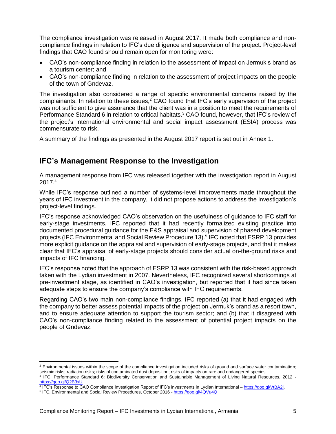The compliance investigation was released in August 2017. It made both compliance and noncompliance findings in relation to IFC's due diligence and supervision of the project. Project-level findings that CAO found should remain open for monitoring were:

- CAO's non-compliance finding in relation to the assessment of impact on Jermuk's brand as a tourism center; and
- CAO's non-compliance finding in relation to the assessment of project impacts on the people of the town of Gndevaz.

The investigation also considered a range of specific environmental concerns raised by the complainants. In relation to these issues, $2^{\circ}$ CAO found that IFC's early supervision of the project was not sufficient to give assurance that the client was in a position to meet the requirements of Performance Standard 6 in relation to critical habitats.<sup>3</sup> CAO found, however, that IFC's review of the project's international environmental and social impact assessment (ESIA) process was commensurate to risk.

A summary of the findings as presented in the August 2017 report is set out in Annex 1.

### <span id="page-4-0"></span>**IFC's Management Response to the Investigation**

A management response from IFC was released together with the investigation report in August 2017. 4

While IFC's response outlined a number of systems-level improvements made throughout the years of IFC investment in the company, it did not propose actions to address the investigation's project-level findings.

IFC's response acknowledged CAO's observation on the usefulness of guidance to IFC staff for early-stage investments. IFC reported that it had recently formalized existing practice into documented procedural guidance for the E&S appraisal and supervision of phased development projects (IFC Environmental and Social Review Procedure 13).<sup>5</sup> IFC noted that ESRP 13 provides more explicit guidance on the appraisal and supervision of early-stage projects, and that it makes clear that IFC's appraisal of early-stage projects should consider actual on-the-ground risks and impacts of IFC financing.

IFC's response noted that the approach of ESRP 13 was consistent with the risk-based approach taken with the Lydian investment in 2007. Nevertheless, IFC recognized several shortcomings at pre-investment stage, as identified in CAO's investigation, but reported that it had since taken adequate steps to ensure the company's compliance with IFC requirements.

Regarding CAO's two main non-compliance findings, IFC reported (a) that it had engaged with the company to better assess potential impacts of the project on Jermuk's brand as a resort town, and to ensure adequate attention to support the tourism sector; and (b) that it disagreed with CAO's non-compliance finding related to the assessment of potential project impacts on the people of Gndevaz.

l

<sup>&</sup>lt;sup>2</sup> Environmental issues within the scope of the compliance investigation included risks of ground and surface water contamination; seismic risks; radiation risks; risks of contaminated dust deposition; risks of impacts on rare and endangered species.

<sup>3</sup> IFC, Performance Standard 6: Biodiversity Conservation and Sustainable Management of Living Natural Resources, 2012 <https://goo.gl/Q2B3xU>

<sup>&</sup>lt;sup>4</sup> IFC's Response to CAO Compliance Investigation Report of IFC's investments in Lydian International – [https://goo.gl/VtBA2j.](https://goo.gl/VtBA2j)

<sup>&</sup>lt;sup>5</sup> IFC, Environmental and Social Review Procedures, October 2016 - <https://goo.gl/4QVu4Q>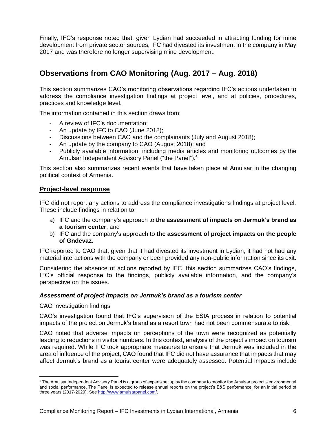Finally, IFC's response noted that, given Lydian had succeeded in attracting funding for mine development from private sector sources, IFC had divested its investment in the company in May 2017 and was therefore no longer supervising mine development.

## <span id="page-5-0"></span>**Observations from CAO Monitoring (Aug. 2017 – Aug. 2018)**

This section summarizes CAO's monitoring observations regarding IFC's actions undertaken to address the compliance investigation findings at project level, and at policies, procedures, practices and knowledge level.

The information contained in this section draws from:

- A review of IFC's documentation;
- An update by IFC to CAO (June 2018);
- Discussions between CAO and the complainants (July and August 2018);
- An update by the company to CAO (August 2018); and
- Publicly available information, including media articles and monitoring outcomes by the Amulsar Independent Advisory Panel ("the Panel").<sup>6</sup>

This section also summarizes recent events that have taken place at Amulsar in the changing political context of Armenia.

#### <span id="page-5-1"></span>**Project-level response**

IFC did not report any actions to address the compliance investigations findings at project level. These include findings in relation to:

- a) IFC and the company's approach to **the assessment of impacts on Jermuk's brand as a tourism center**; and
- b) IFC and the company's approach to **the assessment of project impacts on the people of Gndevaz.**

IFC reported to CAO that, given that it had divested its investment in Lydian, it had not had any material interactions with the company or been provided any non-public information since its exit.

Considering the absence of actions reported by IFC, this section summarizes CAO's findings, IFC's official response to the findings, publicly available information, and the company's perspective on the issues.

#### *Assessment of project impacts on Jermuk's brand as a tourism center*

#### CAO investigation findings

CAO's investigation found that IFC's supervision of the ESIA process in relation to potential impacts of the project on Jermuk's brand as a resort town had not been commensurate to risk.

CAO noted that adverse impacts on perceptions of the town were recognized as potentially leading to reductions in visitor numbers. In this context, analysis of the project's impact on tourism was required. While IFC took appropriate measures to ensure that Jermuk was included in the area of influence of the project, CAO found that IFC did not have assurance that impacts that may affect Jermuk's brand as a tourist center were adequately assessed. Potential impacts include

 $\overline{a}$ <sup>6</sup> The Amulsar Independent Advisory Panel is a group of experts set up by the company to monitor the Amulsar project's environmental and social performance. The Panel is expected to release annual reports on the project's E&S performance, for an initial period of three years (2017-2020). Se[e http://www.amulsarpanel.com/.](http://www.amulsarpanel.com/)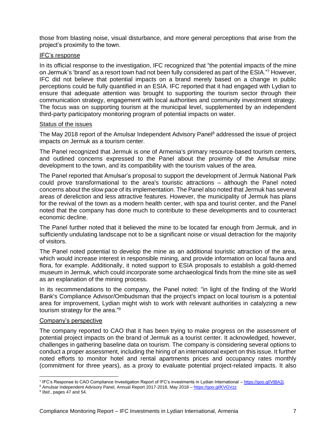those from blasting noise, visual disturbance, and more general perceptions that arise from the project's proximity to the town.

#### IFC's response

In its official response to the investigation, IFC recognized that "the potential impacts of the mine on Jermuk's 'brand' as a resort town had not been fully considered as part of the ESIA."<sup>7</sup> However, IFC did not believe that potential impacts on a brand merely based on a change in public perceptions could be fully quantified in an ESIA. IFC reported that it had engaged with Lydian to ensure that adequate attention was brought to supporting the tourism sector through their communication strategy, engagement with local authorities and community investment strategy. The focus was on supporting tourism at the municipal level, supplemented by an independent third-party participatory monitoring program of potential impacts on water.

#### Status of the issues

The May 2018 report of the Amulsar Independent Advisory Panel<sup>8</sup> addressed the issue of project impacts on Jermuk as a tourism center.

The Panel recognized that Jermuk is one of Armenia's primary resource-based tourism centers, and outlined concerns expressed to the Panel about the proximity of the Amulsar mine development to the town, and its compatibility with the tourism values of the area.

The Panel reported that Amulsar's proposal to support the development of Jermuk National Park could prove transformational to the area's touristic attractions – although the Panel noted concerns about the slow pace of its implementation. The Panel also noted that Jermuk has several areas of dereliction and less attractive features. However, the municipality of Jermuk has plans for the revival of the town as a modern health center, with spa and tourist center, and the Panel noted that the company has done much to contribute to these developments and to counteract economic decline.

The Panel further noted that it believed the mine to be located far enough from Jermuk, and in sufficiently undulating landscape not to be a significant noise or visual detraction for the majority of visitors.

The Panel noted potential to develop the mine as an additional touristic attraction of the area, which would increase interest in responsible mining, and provide information on local fauna and flora, for example. Additionally, it noted support to ESIA proposals to establish a gold-themed museum in Jermuk, which could incorporate some archaeological finds from the mine site as well as an explanation of the mining process.

In its recommendations to the company, the Panel noted: "in light of the finding of the World Bank's Compliance Advisor/Ombudsman that the project's impact on local tourism is a potential area for improvement, Lydian might wish to work with relevant authorities in catalyzing a new tourism strategy for the area."<sup>9</sup>

#### Company's perspective

The company reported to CAO that it has been trying to make progress on the assessment of potential project impacts on the brand of Jermuk as a tourist center. It acknowledged, however, challenges in gathering baseline data on tourism. The company is considering several options to conduct a proper assessment, including the hiring of an international expert on this issue. It further noted efforts to monitor hotel and rental apartments prices and occupancy rates monthly (commitment for three years), as a proxy to evaluate potential project-related impacts. It also

 7 IFC's Response to CAO Compliance Investigation Report of IFC's investments in Lydian International – [https://goo.gl/VtBA2j.](https://goo.gl/VtBA2j)

<sup>8</sup> Amulsar Independent Advisory Panel, Annual Report 2017-2018, May 2018 – <https://goo.gl/KVGVzz>

<sup>9</sup> *Ibid.*, pages 47 and 54.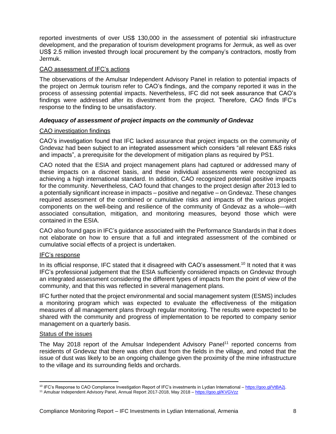reported investments of over US\$ 130,000 in the assessment of potential ski infrastructure development, and the preparation of tourism development programs for Jermuk, as well as over US\$ 2.5 million invested through local procurement by the company's contractors, mostly from Jermuk.

#### CAO assessment of IFC's actions

The observations of the Amulsar Independent Advisory Panel in relation to potential impacts of the project on Jermuk tourism refer to CAO's findings, and the company reported it was in the process of assessing potential impacts. Nevertheless, IFC did not seek assurance that CAO's findings were addressed after its divestment from the project. Therefore, CAO finds IFC's response to the finding to be unsatisfactory.

#### *Adequacy of assessment of project impacts on the community of Gndevaz*

#### CAO investigation findings

CAO's investigation found that IFC lacked assurance that project impacts on the community of Gndevaz had been subject to an integrated assessment which considers "all relevant E&S risks and impacts", a prerequisite for the development of mitigation plans as required by PS1.

CAO noted that the ESIA and project management plans had captured or addressed many of these impacts on a discreet basis, and these individual assessments were recognized as achieving a high international standard. In addition, CAO recognized potential positive impacts for the community. Nevertheless, CAO found that changes to the project design after 2013 led to a potentially significant increase in impacts – positive and negative – on Gndevaz. These changes required assessment of the combined or cumulative risks and impacts of the various project components on the well-being and resilience of the community of Gndevaz as a whole—with associated consultation, mitigation, and monitoring measures, beyond those which were contained in the ESIA.

CAO also found gaps in IFC's guidance associated with the Performance Standards in that it does not elaborate on how to ensure that a full and integrated assessment of the combined or cumulative social effects of a project is undertaken.

#### IFC's response

In its official response, IFC stated that it disagreed with CAO's assessment.<sup>10</sup> It noted that it was IFC's professional judgement that the ESIA sufficiently considered impacts on Gndevaz through an integrated assessment considering the different types of impacts from the point of view of the community, and that this was reflected in several management plans.

IFC further noted that the project environmental and social management system (ESMS) includes a monitoring program which was expected to evaluate the effectiveness of the mitigation measures of all management plans through regular monitoring. The results were expected to be shared with the community and progress of implementation to be reported to company senior management on a quarterly basis.

#### Status of the issues

The May 2018 report of the Amulsar Independent Advisory Panel<sup>11</sup> reported concerns from residents of Gndevaz that there was often dust from the fields in the village, and noted that the issue of dust was likely to be an ongoing challenge given the proximity of the mine infrastructure to the village and its surrounding fields and orchards.

 $\overline{\phantom{a}}$ <sup>10</sup> IFC's Response to CAO Compliance Investigation Report of IFC's investments in Lydian International – [https://goo.gl/VtBA2j.](https://goo.gl/VtBA2j)

<sup>11</sup> Amulsar Independent Advisory Panel, Annual Report 2017-2018, May 2018 – <https://goo.gl/KVGVzz>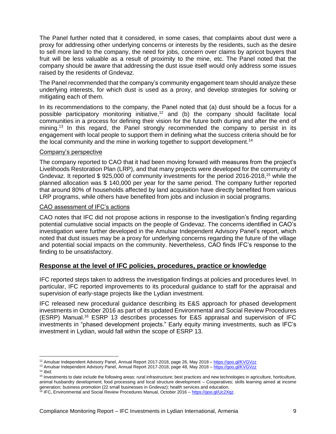The Panel further noted that it considered, in some cases, that complaints about dust were a proxy for addressing other underlying concerns or interests by the residents, such as the desire to sell more land to the company, the need for jobs, concern over claims by apricot buyers that fruit will be less valuable as a result of proximity to the mine, etc. The Panel noted that the company should be aware that addressing the dust issue itself would only address some issues raised by the residents of Gndevaz.

The Panel recommended that the company's community engagement team should analyze these underlying interests, for which dust is used as a proxy, and develop strategies for solving or mitigating each of them.

In its recommendations to the company, the Panel noted that (a) dust should be a focus for a possible participatory monitoring initiative,<sup>12</sup> and (b) the company should facilitate local communities in a process for defining their vision for the future both during and after the end of mining.<sup>13</sup> In this regard, the Panel strongly recommended the company to persist in its engagement with local people to support them in defining what the success criteria should be for the local community and the mine in working together to support development.<sup>14</sup>

#### Company's perspective

The company reported to CAO that it had been moving forward with measures from the project's Livelihoods Restoration Plan (LRP), and that many projects were developed for the community of Gndevaz. It reported \$ 925,000 of community investments for the period 2016-2018,<sup>15</sup> while the planned allocation was \$ 140,000 per year for the same period. The company further reported that around 80% of households affected by land acquisition have directly benefited from various LRP programs, while others have benefited from jobs and inclusion in social programs.

#### CAO assessment of IFC's actions

CAO notes that IFC did not propose actions in response to the investigation's finding regarding potential cumulative social impacts on the people of Gndevaz. The concerns identified in CAO's investigation were further developed in the Amulsar Independent Advisory Panel's report, which noted that dust issues may be a proxy for underlying concerns regarding the future of the village and potential social impacts on the community. Nevertheless, CAO finds IFC's response to the finding to be unsatisfactory.

#### <span id="page-8-0"></span>**Response at the level of IFC policies, procedures, practice or knowledge**

IFC reported steps taken to address the investigation findings at policies and procedures level. In particular, IFC reported improvements to its procedural guidance to staff for the appraisal and supervision of early-stage projects like the Lydian investment.

IFC released new procedural guidance describing its E&S approach for phased development investments in October 2016 as part of its updated Environmental and Social Review Procedures (ESRP) Manual.<sup>16</sup> ESRP 13 describes processes for E&S appraisal and supervision of IFC investments in "phased development projects." Early equity mining investments, such as IFC's investment in Lydian, would fall within the scope of ESRP 13.

 $\overline{\phantom{a}}$ <sup>12</sup> Amulsar Independent Advisory Panel, Annual Report 2017-2018, page 26, May 2018 – <https://goo.gl/KVGVzz>

<sup>&</sup>lt;sup>13</sup> Amulsar Independent Advisory Panel, Annual Report 2017-2018, page 48, May 2018 – <https://goo.gl/KVGVzz>

<sup>14</sup> *Ibid.*

<sup>&</sup>lt;sup>15</sup> Investments to date include the following areas: rural infrastructure; best practices and new technologies in agriculture, horticulture, animal husbandry development; food processing and local structure development – Cooperatives; skills learning aimed at income generation; business promotion (22 small businesses in Gndevaz); health services and education.

<sup>&</sup>lt;sup>16</sup> IFC, Environmental and Social Review Procedures Manual, October 2016 – https://goo.gl/Uc2Xqz.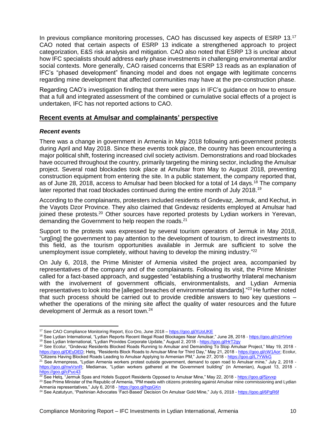In previous compliance monitoring processes, CAO has discussed key aspects of ESRP 13.<sup>17</sup> CAO noted that certain aspects of ESRP 13 indicate a strengthened approach to project categorization, E&S risk analysis and mitigation. CAO also noted that ESRP 13 is unclear about how IFC specialists should address early phase investments in challenging environmental and/or social contexts. More generally, CAO raised concerns that ESRP 13 reads as an explanation of IFC's "phased development" financing model and does not engage with legitimate concerns regarding mine development that affected communities may have at the pre-construction phase.

Regarding CAO's investigation finding that there were gaps in IFC's guidance on how to ensure that a full and integrated assessment of the combined or cumulative social effects of a project is undertaken, IFC has not reported actions to CAO.

#### <span id="page-9-0"></span>**Recent events at Amulsar and complainants' perspective**

#### *Recent events*

 $\overline{\phantom{a}}$ 

There was a change in government in Armenia in May 2018 following anti-government protests during April and May 2018. Since these events took place, the country has been encountering a major political shift, fostering increased civil society activism. Demonstrations and road blockades have occurred throughout the country, primarily targeting the mining sector, including the Amulsar project. Several road blockades took place at Amulsar from May to August 2018, preventing construction equipment from entering the site. In a public statement, the company reported that, as of June 28, 2018, access to Amulsar had been blocked for a total of 14 days.<sup>18</sup> The company later reported that road blockades continued during the entire month of July 2018.<sup>19</sup>

According to the complainants, protesters included residents of Gndevaz, Jermuk, and Kechut, in the Vayots Dzor Province. They also claimed that Gndevaz residents employed at Amulsar had joined these protests.<sup>20</sup> Other sources have reported protests by Lydian workers in Yerevan, demanding the Government to help reopen the roads.<sup>21</sup>

Support to the protests was expressed by several tourism operators of Jermuk in May 2018, "urg[ing] the government to pay attention to the development of tourism, to direct investments to this field, as the tourism opportunities available in Jermuk are sufficient to solve the unemployment issue completely, without having to develop the mining industry."<sup>22</sup>

On July 6, 2018, the Prime Minister of Armenia visited the project area, accompanied by representatives of the company and of the complainants. Following its visit, the Prime Minister called for a fact-based approach, and suggested "establishing a trustworthy trilateral mechanism with the involvement of government officials, environmentalists, and Lydian Armenia representatives to look into the [alleged breaches of environmental standards]."<sup>23</sup> He further noted that such process should be carried out to provide credible answers to two key questions – whether the operations of the mining site affect the quality of water resources and the future development of Jermuk as a resort town.<sup>24</sup>

<sup>23</sup> See Prime Minister of the Republic of Armenia, "PM meets with citizens protesting against Amulsar mine commissioning and Lydian Armenia representatives," July 6, 2018 - <https://goo.gl/hgsGKn>

<sup>&</sup>lt;sup>17</sup> See CAO Compliance Monitoring Report, Eco Oro, June 2018 – <https://goo.gl/XUoUKE>

<sup>&</sup>lt;sup>18</sup> See Lydian International, "Lydian Reports Recent Illegal Road Blockages Near Amulsar," June 28, 2018 - <u><https://goo.gl/n1HVwo></u> <sup>19</sup> See Lydian International, "Lydian Provides Corporate Update," August 2, 2018 - <u><https://goo.gl/HrT2gy></u>

<sup>20</sup> See Ecolur, "Gndevaz Residents Blocked Roads Running to Amulsar and Demanding To Stop Amulsar Project," May 19, 2018 [https://goo.gl/DEyDED;](https://goo.gl/DEyDED) Hetq, "Residents Block Roads to Amulsar Mine for Third Day," May 21, 2018 - [https://goo.gl/cW1Aor;](https://goo.gl/cW1Aor) Ecolur, "Citizens Having Blocked Roads Leading to Amulsar Applying to Armenian PM," June 27, 2018 - <https://goo.gl/L7YWkG>

<sup>&</sup>lt;sup>21</sup> See Armenpress, "Lydian Armenia workers protest outside government, demand to open road to Amulsar mine," July 2, 2018 [https://goo.gl/nwVsnR;](https://goo.gl/nwVsnR) Mediamax, "Lydian workers gathered at the Government building" (in Armenian), August 13, 2018 <https://goo.gl/cPuc43>

<sup>&</sup>lt;sup>22</sup> See Hetq, "Jermuk Spas and Hotels Support Residents Opposed to Amulsar Mine," May 22, 2018 - <u><https://goo.gl/5jxvxp></u>

<sup>&</sup>lt;sup>24</sup> See Azatutyun, "Pashinian Advocates 'Fact-Based' Decision On Amulsar Gold Mine," July 6, 2018 - <https://goo.gl/6PgR6f>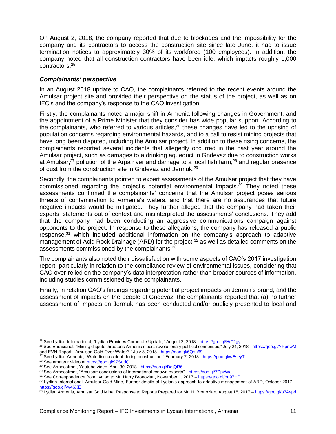On August 2, 2018, the company reported that due to blockades and the impossibility for the company and its contractors to access the construction site since late June, it had to issue termination notices to approximately 30% of its workforce (100 employees). In addition, the company noted that all construction contractors have been idle, which impacts roughly 1,000 contractors. 25

#### *Complainants' perspective*

In an August 2018 update to CAO, the complainants referred to the recent events around the Amulsar project site and provided their perspective on the status of the project, as well as on IFC's and the company's response to the CAO investigation.

Firstly, the complainants noted a major shift in Armenia following changes in Government, and the appointment of a Prime Minister that they consider has wide popular support. According to the complainants, who referred to various articles,<sup>26</sup> these changes have led to the uprising of population concerns regarding environmental hazards, and to a call to resist mining projects that have long been disputed, including the Amulsar project. In addition to these rising concerns, the complainants reported several incidents that allegedly occurred in the past year around the Amulsar project, such as damages to a drinking aqueduct in Gndevaz due to construction works at Amulsar, $27$  pollution of the Arpa river and damage to a local fish farm, $28$  and regular presence of dust from the construction site in Gndevaz and Jermuk.<sup>29</sup>

Secondly, the complainants pointed to expert assessments of the Amulsar project that they have commissioned regarding the project's potential environmental impacts. $30$  They noted these assessments confirmed the complainants' concerns that the Amulsar project poses serious threats of contamination to Armenia's waters, and that there are no assurances that future negative impacts would be mitigated. They further alleged that the company had taken their experts' statements out of context and misinterpreted the assessments' conclusions. They add that the company had been conducting an aggressive communications campaign against opponents to the project. In response to these allegations, the company has released a public response,<sup>31</sup> which included additional information on the company's approach to adaptive management of Acid Rock Drainage (ARD) for the project.<sup>32</sup> as well as detailed comments on the assessments commissioned by the complainants.<sup>33</sup>

The complainants also noted their dissatisfaction with some aspects of CAO's 2017 investigation report, particularly in relation to the compliance review of environmental issues, considering that CAO over-relied on the company's data interpretation rather than broader sources of information, including studies commissioned by the complainants.

Finally, in relation CAO's findings regarding potential project impacts on Jermuk's brand, and the assessment of impacts on the people of Gndevaz, the complainants reported that (a) no further assessment of impacts on Jermuk has been conducted and/or publicly presented to local and

 $\overline{\phantom{a}}$ 

<sup>25</sup> See Lydian International, "Lydian Provides Corporate Update," August 2, 2018 - <https://goo.gl/HrT2gy>

<sup>&</sup>lt;sup>26</sup> See Eurasianet, "Mining dispute threatens Armenia's post-revolutionary political consensus," July 24, 2018 - <https://goo.gl/YPpnwM> and EVN Report, "Amulsar: Gold Over Water?," July 3, 2018 - <u><https://goo.gl/6Qsh69></u>

 $^{27}$  See Lydian Armenia, "Waterline accident during construction," February 7, 2018 - <u><https://goo.gl/wEseyT></u> <sup>28</sup> See amateur video at<https://goo.gl/9ZSudQ>

<sup>29</sup> See Armecofront, Youtube video, April 30, 2018 - <https://goo.gl/DdjQR6>

<sup>30</sup> See Armecofront, "Amulsar: conclusions of international renown experts" - <https://goo.gl/7PpyWa>

<sup>31</sup> See Correspondence from Lydian to Mr. Harry Bronozian, November 1, 2017 - <https://goo.gl/ou97HP>

<sup>32</sup> Lydian International, Amulsar Gold Mine, Further details of Lydian's approach to adaptive management of ARD, October 2017 – <https://goo.gl/vv46XE>

<sup>&</sup>lt;sup>33</sup> Lydian Armenia, Amulsar Gold Mine, Response to Reports Prepared for Mr. H. Bronozian, August 18, 2017 – <https://goo.gl/b7Avpd>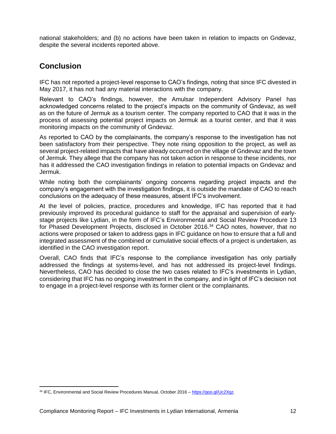national stakeholders; and (b) no actions have been taken in relation to impacts on Gndevaz, despite the several incidents reported above.

## <span id="page-11-0"></span>**Conclusion**

IFC has not reported a project-level response to CAO's findings, noting that since IFC divested in May 2017, it has not had any material interactions with the company.

Relevant to CAO's findings, however, the Amulsar Independent Advisory Panel has acknowledged concerns related to the project's impacts on the community of Gndevaz, as well as on the future of Jermuk as a tourism center. The company reported to CAO that it was in the process of assessing potential project impacts on Jermuk as a tourist center, and that it was monitoring impacts on the community of Gndevaz.

As reported to CAO by the complainants, the company's response to the investigation has not been satisfactory from their perspective. They note rising opposition to the project, as well as several project-related impacts that have already occurred on the village of Gndevaz and the town of Jermuk. They allege that the company has not taken action in response to these incidents, nor has it addressed the CAO investigation findings in relation to potential impacts on Gndevaz and Jermuk.

While noting both the complainants' ongoing concerns regarding project impacts and the company's engagement with the investigation findings, it is outside the mandate of CAO to reach conclusions on the adequacy of these measures, absent IFC's involvement.

At the level of policies, practice, procedures and knowledge, IFC has reported that it had previously improved its procedural guidance to staff for the appraisal and supervision of earlystage projects like Lydian, in the form of IFC's Environmental and Social Review Procedure 13 for Phased Development Projects, disclosed in October 2016. <sup>34</sup> CAO notes, however, that no actions were proposed or taken to address gaps in IFC guidance on how to ensure that a full and integrated assessment of the combined or cumulative social effects of a project is undertaken, as identified in the CAO investigation report.

Overall, CAO finds that IFC's response to the compliance investigation has only partially addressed the findings at systems-level, and has not addressed its project-level findings. Nevertheless, CAO has decided to close the two cases related to IFC's investments in Lydian, considering that IFC has no ongoing investment in the company, and in light of IFC's decision not to engage in a project-level response with its former client or the complainants.

 $\overline{a}$ <sup>34</sup> IFC, Environmental and Social Review Procedures Manual, October 2016 – [https://goo.gl/Uc2Xqz.](https://goo.gl/Uc2Xqz)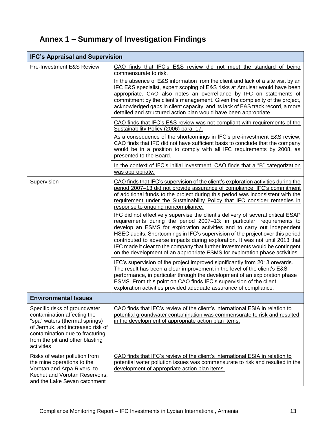## <span id="page-12-0"></span>**Annex 1 – Summary of Investigation Findings**

| <b>IFC's Appraisal and Supervision</b>                                                                                                                                                                                 |                                                                                                                                                                                                                                                                                                                                                                                                                                                                                                                                                                                                                                                                                                                                                                                                                                                                                                                                                                                                                                |  |
|------------------------------------------------------------------------------------------------------------------------------------------------------------------------------------------------------------------------|--------------------------------------------------------------------------------------------------------------------------------------------------------------------------------------------------------------------------------------------------------------------------------------------------------------------------------------------------------------------------------------------------------------------------------------------------------------------------------------------------------------------------------------------------------------------------------------------------------------------------------------------------------------------------------------------------------------------------------------------------------------------------------------------------------------------------------------------------------------------------------------------------------------------------------------------------------------------------------------------------------------------------------|--|
| Pre-Investment E&S Review                                                                                                                                                                                              | CAO finds that IFC's E&S review did not meet the standard of being<br>commensurate to risk.<br>In the absence of E&S information from the client and lack of a site visit by an<br>IFC E&S specialist, expert scoping of E&S risks at Amulsar would have been<br>appropriate. CAO also notes an overreliance by IFC on statements of<br>commitment by the client's management. Given the complexity of the project,<br>acknowledged gaps in client capacity, and its lack of E&S track record, a more<br>detailed and structured action plan would have been appropriate.<br>CAO finds that IFC's E&S review was not compliant with requirements of the<br>Sustainability Policy (2006) para. 17.<br>As a consequence of the shortcomings in IFC's pre-investment E&S review,<br>CAO finds that IFC did not have sufficient basis to conclude that the company<br>would be in a position to comply with all IFC requirements by 2008, as<br>presented to the Board.                                                            |  |
|                                                                                                                                                                                                                        | In the context of IFC's initial investment, CAO finds that a "B" categorization<br>was appropriate.                                                                                                                                                                                                                                                                                                                                                                                                                                                                                                                                                                                                                                                                                                                                                                                                                                                                                                                            |  |
| Supervision                                                                                                                                                                                                            | CAO finds that IFC's supervision of the client's exploration activities during the<br>period 2007-13 did not provide assurance of compliance. IFC's commitment<br>of additional funds to the project during this period was inconsistent with the<br>requirement under the Sustainability Policy that IFC consider remedies in<br>response to ongoing noncompliance.<br>IFC did not effectively supervise the client's delivery of several critical ESAP<br>requirements during the period 2007-13: in particular, requirements to<br>develop an ESMS for exploration activities and to carry out independent<br>HSEC audits. Shortcomings in IFC's supervision of the project over this period<br>contributed to adverse impacts during exploration. It was not until 2013 that<br>IFC made it clear to the company that further investments would be contingent<br>on the development of an appropriate ESMS for exploration phase activities.<br>IFC's supervision of the project improved significantly from 2013 onwards. |  |
|                                                                                                                                                                                                                        | The result has been a clear improvement in the level of the client's E&S<br>performance, in particular through the development of an exploration phase<br>ESMS. From this point on CAO finds IFC's supervision of the client<br>exploration activities provided adequate assurance of compliance.                                                                                                                                                                                                                                                                                                                                                                                                                                                                                                                                                                                                                                                                                                                              |  |
| <b>Environmental Issues</b>                                                                                                                                                                                            |                                                                                                                                                                                                                                                                                                                                                                                                                                                                                                                                                                                                                                                                                                                                                                                                                                                                                                                                                                                                                                |  |
| Specific risks of groundwater<br>contamination affecting the<br>"spa" waters (thermal springs)<br>of Jermuk, and increased risk of<br>contamination due to fracturing<br>from the pit and other blasting<br>activities | CAO finds that IFC's review of the client's international ESIA in relation to<br>potential groundwater contamination was commensurate to risk and resulted<br>in the development of appropriate action plan items.                                                                                                                                                                                                                                                                                                                                                                                                                                                                                                                                                                                                                                                                                                                                                                                                             |  |
| Risks of water pollution from<br>the mine operations to the<br>Vorotan and Arpa Rivers, to<br>Kechut and Vorotan Reservoirs,<br>and the Lake Sevan catchment                                                           | CAO finds that IFC's review of the client's international ESIA in relation to<br>potential water pollution issues was commensurate to risk and resulted in the<br>development of appropriate action plan items.                                                                                                                                                                                                                                                                                                                                                                                                                                                                                                                                                                                                                                                                                                                                                                                                                |  |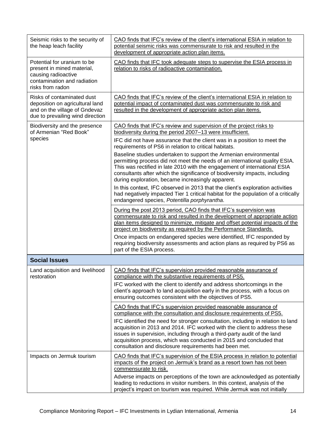| Seismic risks to the security of<br>the heap leach facility                                                                         | CAO finds that IFC's review of the client's international ESIA in relation to<br>potential seismic risks was commensurate to risk and resulted in the<br>development of appropriate action plan items.                                                                                                                                                                                                                                                                                                                                                                                                                                                                                                                                                                                                                                                                                                                                                                                                                                                                                                                                                                                                                                                                                                                                                        |
|-------------------------------------------------------------------------------------------------------------------------------------|---------------------------------------------------------------------------------------------------------------------------------------------------------------------------------------------------------------------------------------------------------------------------------------------------------------------------------------------------------------------------------------------------------------------------------------------------------------------------------------------------------------------------------------------------------------------------------------------------------------------------------------------------------------------------------------------------------------------------------------------------------------------------------------------------------------------------------------------------------------------------------------------------------------------------------------------------------------------------------------------------------------------------------------------------------------------------------------------------------------------------------------------------------------------------------------------------------------------------------------------------------------------------------------------------------------------------------------------------------------|
| Potential for uranium to be<br>present in mined material,<br>causing radioactive<br>contamination and radiation<br>risks from radon | CAO finds that IFC took adequate steps to supervise the ESIA process in<br>relation to risks of radioactive contamination.                                                                                                                                                                                                                                                                                                                                                                                                                                                                                                                                                                                                                                                                                                                                                                                                                                                                                                                                                                                                                                                                                                                                                                                                                                    |
| Risks of contaminated dust<br>deposition on agricultural land<br>and on the village of Gndevaz<br>due to prevailing wind direction  | CAO finds that IFC's review of the client's international ESIA in relation to<br>potential impact of contaminated dust was commensurate to risk and<br>resulted in the development of appropriate action plan items.                                                                                                                                                                                                                                                                                                                                                                                                                                                                                                                                                                                                                                                                                                                                                                                                                                                                                                                                                                                                                                                                                                                                          |
| Biodiversity and the presence<br>of Armenian "Red Book"<br>species                                                                  | CAO finds that IFC's review and supervision of the project risks to<br>biodiversity during the period 2007-13 were insufficient.<br>IFC did not have assurance that the client was in a position to meet the<br>requirements of PS6 in relation to critical habitats.<br>Baseline studies undertaken to support the Armenian environmental<br>permitting process did not meet the needs of an international quality ESIA.<br>This was rectified in late 2010 with the engagement of international ESIA<br>consultants after which the significance of biodiversity impacts, including<br>during exploration, became increasingly apparent.<br>In this context, IFC observed in 2013 that the client's exploration activities<br>had negatively impacted Tier 1 critical habitat for the population of a critically<br>endangered species, Potentilla porphyrantha.<br>During the post 2013 period, CAO finds that IFC's supervision was<br>commensurate to risk and resulted in the development of appropriate action<br>plan items designed to minimize, mitigate and offset potential impacts of the<br>project on biodiversity as required by the Performance Standards.<br>Once impacts on endangered species were identified, IFC responded by<br>requiring biodiversity assessments and action plans as required by PS6 as<br>part of the ESIA process. |
| <b>Social Issues</b>                                                                                                                |                                                                                                                                                                                                                                                                                                                                                                                                                                                                                                                                                                                                                                                                                                                                                                                                                                                                                                                                                                                                                                                                                                                                                                                                                                                                                                                                                               |
| Land acquisition and livelihood<br>restoration                                                                                      | CAO finds that IFC's supervision provided reasonable assurance of<br>compliance with the substantive requirements of PS5.<br>IFC worked with the client to identify and address shortcomings in the<br>client's approach to land acquisition early in the process, with a focus on<br>ensuring outcomes consistent with the objectives of PS5.                                                                                                                                                                                                                                                                                                                                                                                                                                                                                                                                                                                                                                                                                                                                                                                                                                                                                                                                                                                                                |
|                                                                                                                                     | CAO finds that IFC's supervision provided reasonable assurance of<br>compliance with the consultation and disclosure requirements of PS5.<br>IFC identified the need for stronger consultation, including in relation to land<br>acquisition in 2013 and 2014. IFC worked with the client to address these<br>issues in supervision, including through a third-party audit of the land<br>acquisition process, which was conducted in 2015 and concluded that<br>consultation and disclosure requirements had been met.                                                                                                                                                                                                                                                                                                                                                                                                                                                                                                                                                                                                                                                                                                                                                                                                                                       |
| Impacts on Jermuk tourism                                                                                                           | CAO finds that IFC's supervision of the ESIA process in relation to potential<br>impacts of the project on Jermuk's brand as a resort town has not been<br>commensurate to risk.<br>Adverse impacts on perceptions of the town are acknowledged as potentially<br>leading to reductions in visitor numbers. In this context, analysis of the<br>project's impact on tourism was required. While Jermuk was not initially                                                                                                                                                                                                                                                                                                                                                                                                                                                                                                                                                                                                                                                                                                                                                                                                                                                                                                                                      |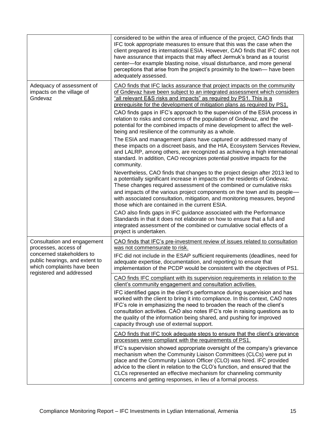|                                                                                                                       | considered to be within the area of influence of the project, CAO finds that<br>IFC took appropriate measures to ensure that this was the case when the<br>client prepared its international ESIA. However, CAO finds that IFC does not<br>have assurance that impacts that may affect Jermuk's brand as a tourist<br>center-for example blasting noise, visual disturbance, and more general<br>perceptions that arise from the project's proximity to the town-have been<br>adequately assessed. |
|-----------------------------------------------------------------------------------------------------------------------|----------------------------------------------------------------------------------------------------------------------------------------------------------------------------------------------------------------------------------------------------------------------------------------------------------------------------------------------------------------------------------------------------------------------------------------------------------------------------------------------------|
| Adequacy of assessment of<br>impacts on the village of<br>Gndevaz                                                     | CAO finds that IFC lacks assurance that project impacts on the community<br>of Gndevaz have been subject to an integrated assessment which considers<br>"all relevant E&S risks and impacts" as required by PS1. This is a<br>prerequisite for the development of mitigation plans as required by PS1.<br>CAO finds gaps in IFC's approach to the supervision of the ESIA process in<br>relation to risks and concerns of the population of Gndevaz, and the                                       |
|                                                                                                                       | potential for the combined impacts of mine development to affect the well-<br>being and resilience of the community as a whole.                                                                                                                                                                                                                                                                                                                                                                    |
|                                                                                                                       | The ESIA and management plans have captured or addressed many of<br>these impacts on a discreet basis, and the HIA, Ecosystem Services Review,<br>and LALRP, among others, are recognized as achieving a high international<br>standard. In addition, CAO recognizes potential positive impacts for the<br>community.                                                                                                                                                                              |
|                                                                                                                       | Nevertheless, CAO finds that changes to the project design after 2013 led to<br>a potentially significant increase in impacts on the residents of Gndevaz.<br>These changes required assessment of the combined or cumulative risks<br>and impacts of the various project components on the town and its people-<br>with associated consultation, mitigation, and monitoring measures, beyond<br>those which are contained in the current ESIA.                                                    |
|                                                                                                                       | CAO also finds gaps in IFC guidance associated with the Performance<br>Standards in that it does not elaborate on how to ensure that a full and<br>integrated assessment of the combined or cumulative social effects of a<br>project is undertaken.                                                                                                                                                                                                                                               |
| Consultation and engagement<br>processes, access of                                                                   | CAO finds that IFC's pre-investment review of issues related to consultation<br>was not commensurate to risk.                                                                                                                                                                                                                                                                                                                                                                                      |
| concerned stakeholders to<br>public hearings, and extent to<br>which complaints have been<br>registered and addressed | IFC did not include in the ESAP sufficient requirements (deadlines, need for<br>adequate expertise, documentation, and reporting) to ensure that<br>implementation of the PCDP would be consistent with the objectives of PS1.                                                                                                                                                                                                                                                                     |
|                                                                                                                       | CAO finds IFC compliant with its supervision requirements in relation to the<br>client's community engagement and consultation activities.                                                                                                                                                                                                                                                                                                                                                         |
|                                                                                                                       | IFC identified gaps in the client's performance during supervision and has<br>worked with the client to bring it into compliance. In this context, CAO notes<br>IFC's role in emphasizing the need to broaden the reach of the client's<br>consultation activities. CAO also notes IFC's role in raising questions as to<br>the quality of the information being shared, and pushing for improved<br>capacity through use of external support.                                                     |
|                                                                                                                       | CAO finds that IFC took adequate steps to ensure that the client's grievance<br>processes were compliant with the requirements of PS1.                                                                                                                                                                                                                                                                                                                                                             |
|                                                                                                                       | IFC's supervision showed appropriate oversight of the company's grievance<br>mechanism when the Community Liaison Committees (CLCs) were put in<br>place and the Community Liaison Officer (CLO) was hired. IFC provided<br>advice to the client in relation to the CLO's function, and ensured that the<br>CLCs represented an effective mechanism for channeling community<br>concerns and getting responses, in lieu of a formal process.                                                       |